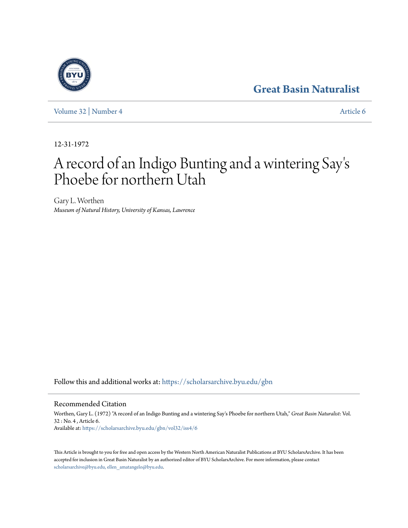## **[Great Basin Naturalist](https://scholarsarchive.byu.edu/gbn?utm_source=scholarsarchive.byu.edu%2Fgbn%2Fvol32%2Fiss4%2F6&utm_medium=PDF&utm_campaign=PDFCoverPages)**

[Volume 32](https://scholarsarchive.byu.edu/gbn/vol32?utm_source=scholarsarchive.byu.edu%2Fgbn%2Fvol32%2Fiss4%2F6&utm_medium=PDF&utm_campaign=PDFCoverPages) | [Number 4](https://scholarsarchive.byu.edu/gbn/vol32/iss4?utm_source=scholarsarchive.byu.edu%2Fgbn%2Fvol32%2Fiss4%2F6&utm_medium=PDF&utm_campaign=PDFCoverPages) [Article 6](https://scholarsarchive.byu.edu/gbn/vol32/iss4/6?utm_source=scholarsarchive.byu.edu%2Fgbn%2Fvol32%2Fiss4%2F6&utm_medium=PDF&utm_campaign=PDFCoverPages)

12-31-1972

## A record of an Indigo Bunting and a wintering Say ' s Phoebe for northern Utah

Gary L. Worthen *Museum of Natural History, University of Kansas, Lawrence*

Follow this and additional works at: [https://scholarsarchive.byu.edu/gbn](https://scholarsarchive.byu.edu/gbn?utm_source=scholarsarchive.byu.edu%2Fgbn%2Fvol32%2Fiss4%2F6&utm_medium=PDF&utm_campaign=PDFCoverPages)

Recommended Citation

Worthen, Gary L. (1972) "A record of an Indigo Bunting and a wintering Say's Phoebe for northern Utah," *Great Basin Naturalist*: Vol. 32 : No. 4 , Article 6. Available at: [https://scholarsarchive.byu.edu/gbn/vol32/iss4/6](https://scholarsarchive.byu.edu/gbn/vol32/iss4/6?utm_source=scholarsarchive.byu.edu%2Fgbn%2Fvol32%2Fiss4%2F6&utm_medium=PDF&utm_campaign=PDFCoverPages)

This Article is brought to you for free and open access by the Western North American Naturalist Publications at BYU ScholarsArchive. It has been accepted for inclusion in Great Basin Naturalist by an authorized editor of BYU ScholarsArchive. For more information, please contact [scholarsarchive@byu.edu, ellen\\_amatangelo@byu.edu.](mailto:scholarsarchive@byu.edu,%20ellen_amatangelo@byu.edu)